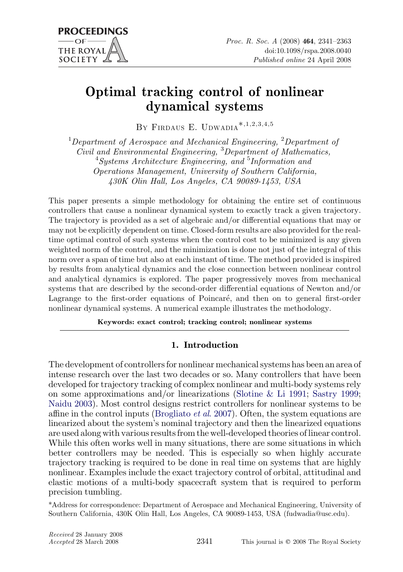# Optimal tracking control of nonlinear dynamical systems

BY FIRDAUS E. UDWADIA\*,1,2,3,4,5

 $1$ Department of Aerospace and Mechanical Engineering,  $2$ Department of Civil and Environmental Engineering, <sup>3</sup> Department of Mathematics, <sup>4</sup>Systems Architecture Engineering, and <sup>5</sup>Information and Operations Management, University of Southern California, 430K Olin Hall, Los Angeles, CA 90089-1453, USA

This paper presents a simple methodology for obtaining the entire set of continuous controllers that cause a nonlinear dynamical system to exactly track a given trajectory. The trajectory is provided as a set of algebraic and/or differential equations that may or may not be explicitly dependent on time. Closed-form results are also provided for the realtime optimal control of such systems when the control cost to be minimized is any given weighted norm of the control, and the minimization is done not just of the integral of this norm over a span of time but also at each instant of time. The method provided is inspired by results from analytical dynamics and the close connection between nonlinear control and analytical dynamics is explored. The paper progressively moves from mechanical systems that are described by the second-order differential equations of Newton and/or Lagrange to the first-order equations of Poincaré, and then on to general first-order nonlinear dynamical systems. A numerical example illustrates the methodology.

Keywords: exact control; tracking control; nonlinear systems

# 1. Introduction

The development of controllers for nonlinear mechanical systems has been an area of intense research over the last two decades or so. Many controllers that have been developed for trajectory tracking of complex nonlinear and multi-body systems rely on some approximations and/or linearizations [\(Slotine & Li 1991](#page-22-0); [Sastry 1999;](#page-22-0) [Naidu 2003\)](#page-22-0). Most control designs restrict controllers for nonlinear systems to be affine in the control inputs [\(Brogliato](#page-21-0) *et al.* 2007). Often, the system equations are linearized about the system's nominal trajectory and then the linearized equations are used along with various results from the well-developed theories of linear control. While this often works well in many situations, there are some situations in which better controllers may be needed. This is especially so when highly accurate trajectory tracking is required to be done in real time on systems that are highly nonlinear. Examples include the exact trajectory control of orbital, attitudinal and elastic motions of a multi-body spacecraft system that is required to perform precision tumbling.

\*Address for correspondence: Department of Aerospace and Mechanical Engineering, University of Southern California, 430K Olin Hall, Los Angeles, CA 90089-1453, USA (fudwadia@usc.edu).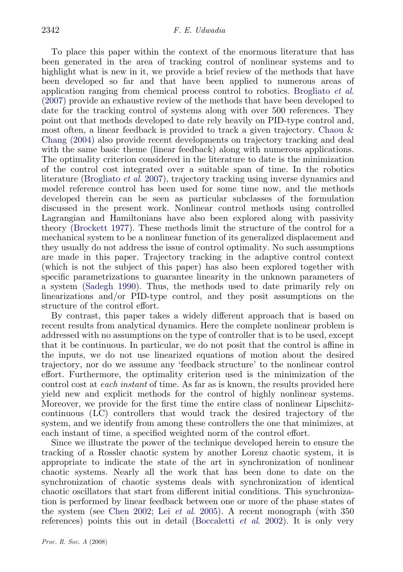To place this paper within the context of the enormous literature that has been generated in the area of tracking control of nonlinear systems and to highlight what is new in it, we provide a brief review of the methods that have been developed so far and that have been applied to numerous areas of application ranging from chemical process control to robotics. [Brogliato](#page-21-0) et al. [\(2007\)](#page-21-0) provide an exhaustive review of the methods that have been developed to date for the tracking control of systems along with over 500 references. They point out that methods developed to date rely heavily on PID-type control and, most often, a linear feedback is provided to track a given trajectory. Chaou  $\&$ [Chang \(2004\)](#page-22-0) also provide recent developments on trajectory tracking and deal with the same basic theme (linear feedback) along with numerous applications. The optimality criterion considered in the literature to date is the minimization of the control cost integrated over a suitable span of time. In the robotics literature ([Brogliato](#page-21-0) et al. 2007), trajectory tracking using inverse dynamics and model reference control has been used for some time now, and the methods developed therein can be seen as particular subclasses of the formulation discussed in the present work. Nonlinear control methods using controlled Lagrangian and Hamiltonians have also been explored along with passivity theory [\(Brockett 1977\)](#page-21-0). These methods limit the structure of the control for a mechanical system to be a nonlinear function of its generalized displacement and they usually do not address the issue of control optimality. No such assumptions are made in this paper. Trajectory tracking in the adaptive control context (which is not the subject of this paper) has also been explored together with specific parametrizations to guarantee linearity in the unknown parameters of a system ([Sadegh 1990](#page-22-0)). Thus, the methods used to date primarily rely on linearizations and/or PID-type control, and they posit assumptions on the structure of the control effort.

By contrast, this paper takes a widely different approach that is based on recent results from analytical dynamics. Here the complete nonlinear problem is addressed with no assumptions on the type of controller that is to be used, except that it be continuous. In particular, we do not posit that the control is affine in the inputs, we do not use linearized equations of motion about the desired trajectory, nor do we assume any 'feedback structure' to the nonlinear control effort. Furthermore, the optimality criterion used is the minimization of the control cost at each instant of time. As far as is known, the results provided here yield new and explicit methods for the control of highly nonlinear systems. Moreover, we provide for the first time the entire class of nonlinear Lipschitzcontinuous (LC) controllers that would track the desired trajectory of the system, and we identify from among these controllers the one that minimizes, at each instant of time, a specified weighted norm of the control effort.

Since we illustrate the power of the technique developed herein to ensure the tracking of a Rossler chaotic system by another Lorenz chaotic system, it is appropriate to indicate the state of the art in synchronization of nonlinear chaotic systems. Nearly all the work that has been done to date on the synchronization of chaotic systems deals with synchronization of identical chaotic oscillators that start from different initial conditions. This synchronization is performed by linear feedback between one or more of the phase states of the system (see [Chen 2002](#page-22-0); Lei et al[. 2005](#page-22-0)). A recent monograph (with 350 references) points this out in detail [\(Boccaletti](#page-21-0) et al. 2002). It is only very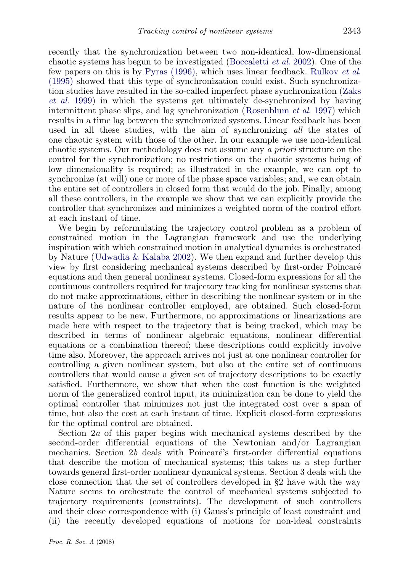recently that the synchronization between two non-identical, low-dimensional chaotic systems has begun to be investigated ([Boccaletti](#page-21-0) et al. 2002). One of the few papers on this is by [Pyras \(1996\)](#page-22-0), which uses linear feedback. [Rulkov](#page-22-0) et al. [\(1995\)](#page-22-0) showed that this type of synchronization could exist. Such synchronization studies have resulted in the so-called imperfect phase synchronization ([Zaks](#page-22-0) et al[. 1999\)](#page-22-0) in which the systems get ultimately de-synchronized by having intermittent phase slips, and lag synchronization ([Rosenblum](#page-22-0) et al. 1997) which results in a time lag between the synchronized systems. Linear feedback has been used in all these studies, with the aim of synchronizing all the states of one chaotic system with those of the other. In our example we use non-identical chaotic systems. Our methodology does not assume any a priori structure on the control for the synchronization; no restrictions on the chaotic systems being of low dimensionality is required; as illustrated in the example, we can opt to synchronize (at will) one or more of the phase space variables; and, we can obtain the entire set of controllers in closed form that would do the job. Finally, among all these controllers, in the example we show that we can explicitly provide the controller that synchronizes and minimizes a weighted norm of the control effort at each instant of time.

We begin by reformulating the trajectory control problem as a problem of constrained motion in the Lagrangian framework and use the underlying inspiration with which constrained motion in analytical dynamics is orchestrated by Nature ([Udwadia & Kalaba 2002\)](#page-22-0). We then expand and further develop this view by first considering mechanical systems described by first-order Poincare´ equations and then general nonlinear systems. Closed-form expressions for all the continuous controllers required for trajectory tracking for nonlinear systems that do not make approximations, either in describing the nonlinear system or in the nature of the nonlinear controller employed, are obtained. Such closed-form results appear to be new. Furthermore, no approximations or linearizations are made here with respect to the trajectory that is being tracked, which may be described in terms of nonlinear algebraic equations, nonlinear differential equations or a combination thereof; these descriptions could explicitly involve time also. Moreover, the approach arrives not just at one nonlinear controller for controlling a given nonlinear system, but also at the entire set of continuous controllers that would cause a given set of trajectory descriptions to be exactly satisfied. Furthermore, we show that when the cost function is the weighted norm of the generalized control input, its minimization can be done to yield the optimal controller that minimizes not just the integrated cost over a span of time, but also the cost at each instant of time. Explicit closed-form expressions for the optimal control are obtained.

Section 2a of this paper begins with mechanical systems described by the second-order differential equations of the Newtonian and/or Lagrangian mechanics. Section  $2b$  deals with Poincaré's first-order differential equations that describe the motion of mechanical systems; this takes us a step further towards general first-order nonlinear dynamical systems. Section 3 deals with the close connection that the set of controllers developed in §2 have with the way Nature seems to orchestrate the control of mechanical systems subjected to trajectory requirements (constraints). The development of such controllers and their close correspondence with (i) Gauss's principle of least constraint and (ii) the recently developed equations of motions for non-ideal constraints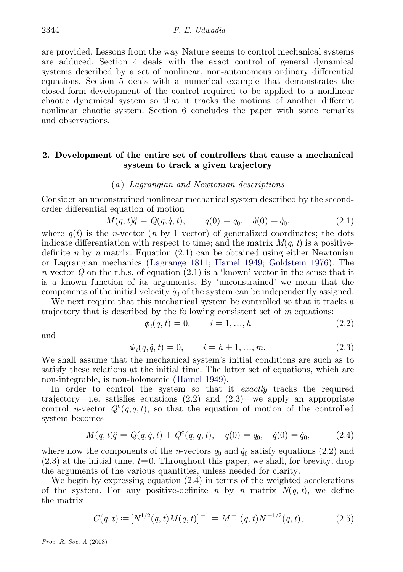are provided. Lessons from the way Nature seems to control mechanical systems are adduced. Section 4 deals with the exact control of general dynamical systems described by a set of nonlinear, non-autonomous ordinary differential equations. Section 5 deals with a numerical example that demonstrates the closed-form development of the control required to be applied to a nonlinear chaotic dynamical system so that it tracks the motions of another different nonlinear chaotic system. Section 6 concludes the paper with some remarks and observations.

## 2. Development of the entire set of controllers that cause a mechanical system to track a given trajectory

## (a ) Lagrangian and Newtonian descriptions

Consider an unconstrained nonlinear mechanical system described by the secondorder differential equation of motion

$$
M(q, t)\ddot{q} = Q(q, \dot{q}, t), \qquad q(0) = q_0, \quad \dot{q}(0) = \dot{q}_0,
$$
\n(2.1)

where  $q(t)$  is the n-vector (n by 1 vector) of generalized coordinates; the dots indicate differentiation with respect to time; and the matrix  $M(q, t)$  is a positivedefinite n by n matrix. Equation  $(2.1)$  can be obtained using either Newtonian or Lagrangian mechanics ([Lagrange 1811;](#page-22-0) [Hamel 1949;](#page-22-0) [Goldstein 1976](#page-22-0)). The n-vector  $Q$  on the r.h.s. of equation  $(2.1)$  is a 'known' vector in the sense that it is a known function of its arguments. By 'unconstrained' we mean that the components of the initial velocity  $\dot{q}_0$  of the system can be independently assigned.

We next require that this mechanical system be controlled so that it tracks a trajectory that is described by the following consistent set of  $m$  equations:

$$
\phi_i(q, t) = 0, \qquad i = 1, ..., h \tag{2.2}
$$

and

$$
\psi_i(q, \dot{q}, t) = 0, \qquad i = h + 1, ..., m.
$$
\n(2.3)

We shall assume that the mechanical system's initial conditions are such as to satisfy these relations at the initial time. The latter set of equations, which are non-integrable, is non-holonomic ([Hamel 1949\)](#page-22-0).

In order to control the system so that it exactly tracks the required trajectory—i.e. satisfies equations (2.2) and (2.3)—we apply an appropriate control *n*-vector  $Q^{c}(q, \dot{q}, t)$ , so that the equation of motion of the controlled system becomes

$$
M(q, t)\ddot{q} = Q(q, \dot{q}, t) + Q^{c}(q, q, t), \quad q(0) = q_{0}, \quad \dot{q}(0) = \dot{q}_{0}, \tag{2.4}
$$

where now the components of the *n*-vectors  $q_0$  and  $\dot{q}_0$  satisfy equations (2.2) and  $(2.3)$  at the initial time,  $t=0$ . Throughout this paper, we shall, for brevity, drop the arguments of the various quantities, unless needed for clarity.

We begin by expressing equation  $(2.4)$  in terms of the weighted accelerations of the system. For any positive-definite n by n matrix  $N(q, t)$ , we define the matrix

$$
G(q,t) := [N^{1/2}(q,t)M(q,t)]^{-1} = M^{-1}(q,t)N^{-1/2}(q,t),
$$
\n(2.5)

Proc. R. Soc. A (2008)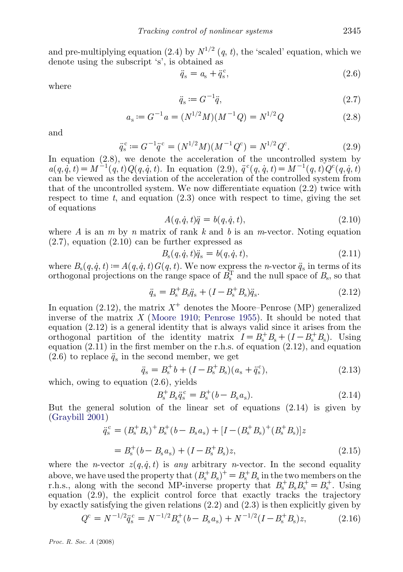and pre-multiplying equation (2.4) by  $N^{1/2}$  (q, t), the 'scaled' equation, which we denote using the subscript 's', is obtained as

$$
\ddot{q}_s = a_s + \ddot{q}_s^c,\tag{2.6}
$$

where

$$
\ddot{q}_s := G^{-1}\ddot{q},\tag{2.7}
$$

$$
a_{s} := G^{-1}a = (N^{1/2}M)(M^{-1}Q) = N^{1/2}Q
$$
\n(2.8)

and

$$
\ddot{q}_s^c := G^{-1}\ddot{q}^c = (N^{1/2}M)(M^{-1}Q^c) = N^{1/2}Q^c.
$$
\n(2.9)

In equation (2.8), we denote the acceleration of the uncontrolled system by  $a(q, \dot{q}, t) = M^{-1}(q, t) Q(q, \dot{q}, t)$ . In equation (2.9),  $\ddot{q}^c(q, \dot{q}, t) = M^{-1}(q, t) Q^c(q, \dot{q}, t)$ can be viewed as the deviation of the acceleration of the controlled system from that of the uncontrolled system. We now differentiate equation (2.2) twice with respect to time  $t$ , and equation  $(2.3)$  once with respect to time, giving the set of equations

$$
A(q, \dot{q}, t)\ddot{q} = b(q, \dot{q}, t), \qquad (2.10)
$$

where A is an m by n matrix of rank k and b is an m-vector. Noting equation  $(2.7)$ , equation  $(2.10)$  can be further expressed as

$$
B_{\rm s}(q, \dot{q}, t)\ddot{q}_{\rm s} = b(q, \dot{q}, t), \qquad (2.11)
$$

where  $B_s(q,\dot{q},t) \coloneqq A(q,\dot{q},t)G(q,t)$ . We now express the *n*-vector  $\ddot{q}_s$  in terms of its orthogonal projections on the range space of  $\overline{B}_s^T$  and the null space of  $B_s$ , so that

$$
\ddot{q}_s = B_s^+ B_s \ddot{q}_s + (I - B_s^+ B_s) \ddot{q}_s. \tag{2.12}
$$

In equation (2.12), the matrix  $X^+$  denotes the Moore–Penrose (MP) generalized inverse of the matrix  $X$  ([Moore 1910](#page-22-0); [Penrose 1955](#page-22-0)). It should be noted that equation (2.12) is a general identity that is always valid since it arises from the orthogonal partition of the identity matrix  $I = B_s^+ B_s + (I - B_s^+ B_s)$ . Using equation  $(2.11)$  in the first member on the r.h.s. of equation  $(2.12)$ , and equation  $(2.6)$  to replace  $\ddot{q}_s$  in the second member, we get

$$
\ddot{q}_s = B_s^+ b + (I - B_s^+ B_s)(a_s + \ddot{q}_s^c),\tag{2.13}
$$

which, owing to equation (2.6), yields

$$
B_{\rm s}^+ B_{\rm s} \ddot{q}_{\rm s}^{\rm c} = B_{\rm s}^+ (b - B_{\rm s} a_{\rm s}). \tag{2.14}
$$

But the general solution of the linear set of equations (2.14) is given by [\(Graybill 2001\)](#page-22-0)

$$
\ddot{q}_s^c = (B_s^+ B_s)^+ B_s^+ (b - B_s a_s) + [I - (B_s^+ B_s)^+ (B_s^+ B_s)] z
$$
  
=  $B_s^+ (b - B_s a_s) + (I - B_s^+ B_s) z,$  (2.15)

where the *n*-vector  $z(q,\dot{q},t)$  is any arbitrary *n*-vector. In the second equality above, we have used the property that  $(B_s^+B_s)^+ = B_s^+B_s$  in the two members on the r.h.s., along with the second MP-inverse property that  $B_s^+B_sB_s^+ = B_s^+$ . Using equation (2.9), the explicit control force that exactly tracks the trajectory by exactly satisfying the given relations (2.2) and (2.3) is then explicitly given by

$$
Q^{\rm c} = N^{-1/2} \ddot{q}_{\rm s}^{\rm c} = N^{-1/2} B_{\rm s}^+(b - B_{\rm s} a_{\rm s}) + N^{-1/2} (I - B_{\rm s}^+ B_{\rm s}) z, \tag{2.16}
$$

Proc. R. Soc. A (2008)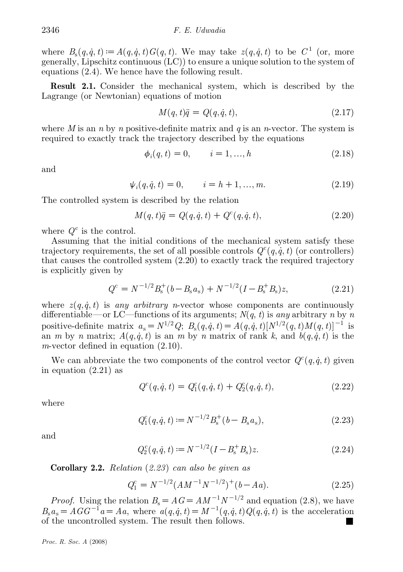where  $B_s(q,\dot{q},t) \coloneqq A(q,\dot{q},t)G(q,t)$ . We may take  $z(q,\dot{q},t)$  to be  $C^1$  (or, more generally, Lipschitz continuous (LC)) to ensure a unique solution to the system of equations (2.4). We hence have the following result.

Result 2.1. Consider the mechanical system, which is described by the Lagrange (or Newtonian) equations of motion

$$
M(q, t)\ddot{q} = Q(q, \dot{q}, t),\tag{2.17}
$$

where M is an n by n positive-definite matrix and q is an n-vector. The system is required to exactly track the trajectory described by the equations

$$
\phi_i(q, t) = 0, \qquad i = 1, ..., h \tag{2.18}
$$

and

$$
\psi_i(q, \dot{q}, t) = 0, \qquad i = h + 1, ..., m.
$$
\n(2.19)

The controlled system is described by the relation

$$
M(q, t)\ddot{q} = Q(q, \dot{q}, t) + Q^{c}(q, \dot{q}, t),
$$
\n(2.20)

where  $Q^c$  is the control.

Assuming that the initial conditions of the mechanical system satisfy these trajectory requirements, the set of all possible controls  $Q^c(q, \dot{q}, t)$  (or controllers) that causes the controlled system (2.20) to exactly track the required trajectory is explicitly given by

$$
Q^c = N^{-1/2} B_s^+(b - B_s a_s) + N^{-1/2} (I - B_s^+ B_s) z,
$$
\n(2.21)

where  $z(q, \dot{q}, t)$  is any arbitrary n-vector whose components are continuously differentiable—or LC—functions of its arguments;  $N(q, t)$  is any arbitrary n by n positive-definite matrix  $a_s = N^{1/2} Q; B_s(q, \dot{q}, t) = A(q, \dot{q}, t) [N^{1/2}(q, t)M(q, t)]^{-1}$  is an m by n matrix;  $A(q,\dot{q},t)$  is an m by n matrix of rank k, and  $b(q,\dot{q},t)$  is the  $m$ -vector defined in equation  $(2.10)$ .

We can abbreviate the two components of the control vector  $Q^c(q, \dot{q}, t)$  given in equation (2.21) as

$$
Q^{c}(q, \dot{q}, t) = Q_{1}^{c}(q, \dot{q}, t) + Q_{2}^{c}(q, \dot{q}, t), \qquad (2.22)
$$

where

$$
Q_1^c(q, \dot{q}, t) := N^{-1/2} B_s^+(b - B_s a_s), \qquad (2.23)
$$

and

$$
Q_2^c(q, \dot{q}, t) := N^{-1/2} (I - B_s^+ B_s) z.
$$
 (2.24)

**Corollary 2.2.** Relation  $(2.23)$  can also be given as

$$
Q_1^c = N^{-1/2} (AM^{-1}N^{-1/2})^+(b - Aa). \tag{2.25}
$$

*Proof.* Using the relation  $B_s = AG = AM^{-1}N^{-1/2}$  and equation (2.8), we have  $B_s a_s = AGG^{-1} a = A a$ , where  $a(q, \dot{q}, t) = M^{-1}(q, \dot{q}, t) Q(q, \dot{q}, t)$  is the acceleration of the uncontrolled system. The result then follows.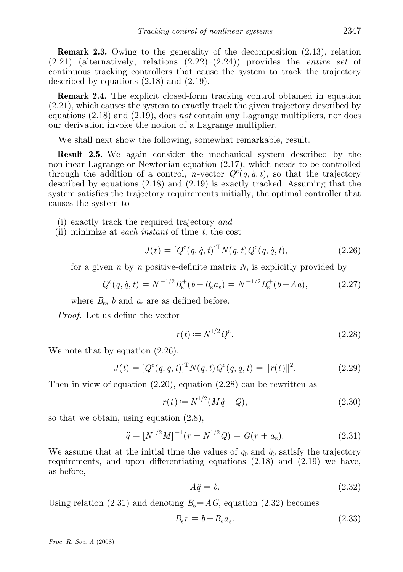Remark 2.3. Owing to the generality of the decomposition (2.13), relation  $(2.21)$  (alternatively, relations  $(2.22)$ – $(2.24)$ ) provides the *entire set* of continuous tracking controllers that cause the system to track the trajectory described by equations (2.18) and (2.19).

Remark 2.4. The explicit closed-form tracking control obtained in equation (2.21), which causes the system to exactly track the given trajectory described by equations  $(2.18)$  and  $(2.19)$ , does not contain any Lagrange multipliers, nor does our derivation invoke the notion of a Lagrange multiplier.

We shall next show the following, somewhat remarkable, result.

Result 2.5. We again consider the mechanical system described by the nonlinear Lagrange or Newtonian equation (2.17), which needs to be controlled through the addition of a control, *n*-vector  $Q^{c}(q, \dot{q}, t)$ , so that the trajectory described by equations  $(2.18)$  and  $(2.19)$  is exactly tracked. Assuming that the system satisfies the trajectory requirements initially, the optimal controller that causes the system to

- (i) exactly track the required trajectory and
- (ii) minimize at *each instant* of time  $t$ , the cost

$$
J(t) = [Q^{c}(q, \dot{q}, t)]^{T} N(q, t) Q^{c}(q, \dot{q}, t), \qquad (2.26)
$$

for a given n by n positive-definite matrix N, is explicitly provided by

$$
Q^{c}(q, \dot{q}, t) = N^{-1/2} B_{s}^{+}(b - B_{s} a_{s}) = N^{-1/2} B_{s}^{+}(b - A a), \qquad (2.27)
$$

where  $B_s$ , b and  $a_s$  are as defined before.

Proof. Let us define the vector

$$
r(t) := N^{1/2} Q^c.
$$
 (2.28)

We note that by equation  $(2.26)$ ,

$$
J(t) = [Q^{c}(q, q, t)]^{T} N(q, t) Q^{c}(q, q, t) = ||r(t)||^{2}.
$$
 (2.29)

Then in view of equation (2.20), equation (2.28) can be rewritten as

$$
r(t) := N^{1/2}(M\ddot{q} - Q),
$$
\n(2.30)

so that we obtain, using equation (2.8),

$$
\ddot{q} = [N^{1/2}M]^{-1}(r + N^{1/2}Q) = G(r + a_{\rm s}).
$$
\n(2.31)

We assume that at the initial time the values of  $q_0$  and  $\dot{q}_0$  satisfy the trajectory requirements, and upon differentiating equations (2.18) and (2.19) we have, as before,

$$
A\ddot{q} = b.\t(2.32)
$$

Using relation (2.31) and denoting  $B_s = AG$ , equation (2.32) becomes

$$
B_{\rm s}r = b - B_{\rm s}a_{\rm s}.\tag{2.33}
$$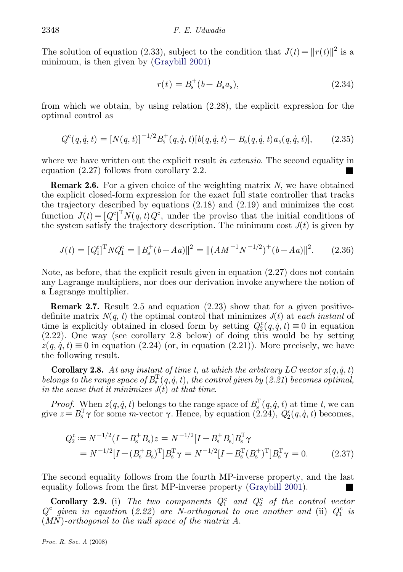The solution of equation (2.33), subject to the condition that  $J(t) = ||r(t)||^2$  is a minimum, is then given by ([Graybill 2001\)](#page-22-0)

$$
r(t) = B_{\rm s}^+(b - B_{\rm s}a_{\rm s}),\tag{2.34}
$$

from which we obtain, by using relation (2.28), the explicit expression for the optimal control as

$$
Q^{c}(q, \dot{q}, t) = [N(q, t)]^{-1/2} B_{s}^{+}(q, \dot{q}, t) [b(q, \dot{q}, t) - B_{s}(q, \dot{q}, t) a_{s}(q, \dot{q}, t)],
$$
 (2.35)

where we have written out the explicit result in extensio. The second equality in equation  $(2.27)$  follows from corollary 2.2.

**Remark 2.6.** For a given choice of the weighting matrix N, we have obtained the explicit closed-form expression for the exact full state controller that tracks the trajectory described by equations (2.18) and (2.19) and minimizes the cost function  $J(t) = [Q^c]^T N(q, t) Q^c$ , under the proviso that the initial conditions of the system satisfy the trajectory description. The minimum cost  $J(t)$  is given by

$$
J(t) = [Q_1^c]^T N Q_1^c = ||B_s^+(b - Aa)||^2 = ||(AM^{-1}N^{-1/2})^+(b - Aa)||^2.
$$
 (2.36)

Note, as before, that the explicit result given in equation (2.27) does not contain any Lagrange multipliers, nor does our derivation invoke anywhere the notion of a Lagrange multiplier.

Remark 2.7. Result 2.5 and equation (2.23) show that for a given positivedefinite matrix  $N(q, t)$  the optimal control that minimizes  $J(t)$  at each instant of time is explicitly obtained in closed form by setting  $Q_2^c(q, \dot{q}, t) \equiv 0$  in equation (2.22). One way (see corollary 2.8 below) of doing this would be by setting  $z(q, \dot{q}, t) \equiv 0$  in equation (2.24) (or, in equation (2.21)). More precisely, we have the following result.

**Corollary 2.8.** At any instant of time t, at which the arbitrary LC vector  $z(q, \dot{q}, t)$ belongs to the range space of  $B_s^T(q, \dot{q}, t)$ , the control given by  $(2.\overline{21})$  becomes optimal, in the sense that it minimizes  $\overline{J(t)}$  at that time.

*Proof.* When  $z(q, \dot{q}, t)$  belongs to the range space of  $B_s^T(q, \dot{q}, t)$  at time t, we can give  $z = B_s^T \gamma$  for some *m*-vector  $\gamma$ . Hence, by equation (2.24),  $Q_2^c(q, \dot{q}, t)$  becomes,

$$
Q_2^c := N^{-1/2} (I - B_s^+ B_s) z = N^{-1/2} [I - B_s^+ B_s] B_s^T \gamma
$$
  
=  $N^{-1/2} [I - (B_s^+ B_s)^T] B_s^T \gamma = N^{-1/2} [I - B_s^T (B_s^+)^T] B_s^T \gamma = 0.$  (2.37)

The second equality follows from the fourth MP-inverse property, and the last equality follows from the first MP-inverse property ([Graybill 2001](#page-22-0)).

**Corollary 2.9.** (i) The two components  $Q_1^c$  and  $Q_2^c$  of the control vector  $Q^c$  given in equation (2.22) are N-orthogonal to one another and (ii)  $Q_1^c$  is (MN)-orthogonal to the null space of the matrix A.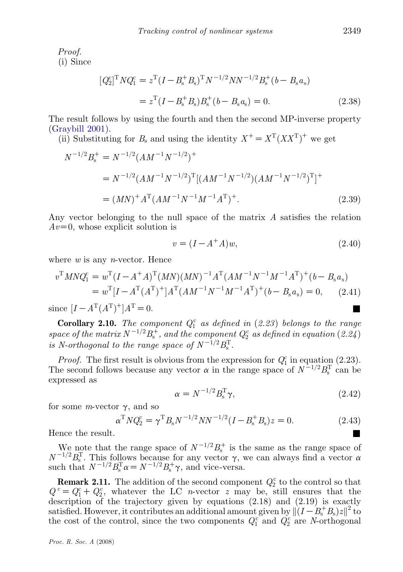Proof. (i) Since

$$
[Q_2^c]^T N Q_1^c = z^T (I - B_s^+ B_s)^T N^{-1/2} N N^{-1/2} B_s^+ (b - B_s a_s)
$$
  
=  $z^T (I - B_s^+ B_s) B_s^+ (b - B_s a_s) = 0.$  (2.38)

The result follows by using the fourth and then the second MP-inverse property [\(Graybill 2001\)](#page-22-0).

(ii) Substituting for  $B_s$  and using the identity  $X^+ = X^{\mathrm{T}} (XX^{\mathrm{T}})^+$  we get

$$
N^{-1/2}B_s^+ = N^{-1/2}(AM^{-1}N^{-1/2})^+
$$
  
=  $N^{-1/2}(AM^{-1}N^{-1/2})^T[(AM^{-1}N^{-1/2})(AM^{-1}N^{-1/2})^T]^+$   
=  $(MN)^+A^T(AM^{-1}N^{-1}M^{-1}A^T)^+$ . (2.39)

Any vector belonging to the null space of the matrix A satisfies the relation  $Av=0$ , whose explicit solution is

$$
v = (I - A^{+}A)w,
$$
\n(2.40)

where  $w$  is any *n*-vector. Hence

$$
v^{\mathrm{T}} M N Q_1^{\mathrm{c}} = w^{\mathrm{T}} (I - A^+ A)^{\mathrm{T}} (MN) (MN)^{-1} A^{\mathrm{T}} (AM^{-1} N^{-1} M^{-1} A^{\mathrm{T}})^+ (b - B_{\mathrm{s}} a_{\mathrm{s}})
$$
  
= 
$$
w^{\mathrm{T}} [I - A^{\mathrm{T}} (A^{\mathrm{T}})^+] A^{\mathrm{T}} (AM^{-1} N^{-1} M^{-1} A^{\mathrm{T}})^+ (b - B_{\mathrm{s}} a_{\mathrm{s}}) = 0, \qquad (2.41)
$$

since  $[I - A^{T}(A^{T})^{+}]A^{T} = 0.$ 

**Corollary 2.10.** The component  $Q_1^c$  as defined in (2.23) belongs to the range space of the matrix  $N^{-1/2}B_{\rm s}^+$ , and the component  $Q_2^{\rm c}$  as defined in equation (2.24) is N-orthogonal to the range space of  $N^{-1/2}B_{\rm s}^{\rm T}$ .

*Proof.* The first result is obvious from the expression for  $Q_1^c$  in equation (2.23). The second follows because any vector  $\alpha$  in the range space of  $N^{-1/2}B_s^T$  can be expressed as

$$
\alpha = N^{-1/2} B_s^{\mathrm{T}} \gamma,\tag{2.42}
$$

for some *m*-vector  $\gamma$ , and so

$$
\alpha^{\mathrm{T}} N Q_2^{\mathrm{c}} = \gamma^{\mathrm{T}} B_{\mathrm{s}} N^{-1/2} N N^{-1/2} (I - B_{\mathrm{s}}^{\dagger} B_{\mathrm{s}}) z = 0. \tag{2.43}
$$

Hence the result.

We note that the range space of  $N^{-1/2}B_s^+$  is the same as the range space of  $N^{-1/2}B_s^T$ . This follows because for any vector  $\gamma$ , we can always find a vector  $\alpha$ such that  $N^{-1/2}B_s^{\mathrm{T}}\alpha = N^{-1/2}B_s^{\dagger}\gamma$ , and vice-versa.

**Remark 2.11.** The addition of the second component  $Q_2^c$  to the control so that  $Q^c = Q_1^c + Q_2^c$ , whatever the LC n-vector z may be, still ensures that the description of the trajectory given by equations  $(2.18)$  and  $(2.19)$  is exactly satisfied. However, it contributes an additional amount given by  $\| (I - B_{\rm s}^+ B_{\rm s}) z \|^2$  to the cost of the control, since the two components  $Q_1^c$  and  $Q_2^c$  are N-orthogonal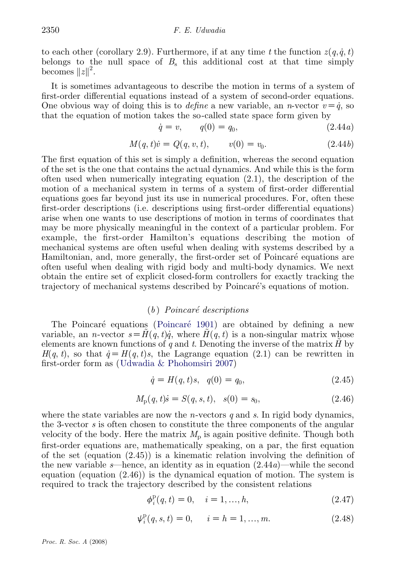to each other (corollary 2.9). Furthermore, if at any time t the function  $z(q,\dot{q},t)$ belongs to the null space of  $B_s$  this additional cost at that time simply becomes  $||z||^2$ .

It is sometimes advantageous to describe the motion in terms of a system of first-order differential equations instead of a system of second-order equations. One obvious way of doing this is to *define* a new variable, an *n*-vector  $v=\dot{q}$ , so that the equation of motion takes the so -called state space form given by

$$
\dot{q} = v, \qquad q(0) = q_0,
$$
\n(2.44a)

$$
M(q, t)\dot{v} = Q(q, v, t), \qquad v(0) = v_0.
$$
\n(2.44b)

The first equation of this set is simply a definition, whereas the second equation of the set is the one that contains the actual dynamics. And while this is the form often used when numerically integrating equation (2.1), the description of the motion of a mechanical system in terms of a system of first-order differential equations goes far beyond just its use in numerical procedures. For, often these first-order descriptions (i.e. descriptions using first-order differential equations) arise when one wants to use descriptions of motion in terms of coordinates that may be more physically meaningful in the context of a particular problem. For example, the first-order Hamilton's equations describing the motion of mechanical systems are often useful when dealing with systems described by a Hamiltonian, and, more generally, the first-order set of Poincaré equations are often useful when dealing with rigid body and multi-body dynamics. We next obtain the entire set of explicit closed-form controllers for exactly tracking the trajectory of mechanical systems described by Poincaré's equations of motion.

## $(b)$  Poincaré descriptions

The Poincaré equations (Poincaré 1901) are obtained by defining a new variable, an *n*-vector  $s = \hat{H}(q, t)\hat{q}$ , where  $\hat{H}(q, t)$  is a non-singular matrix whose elements are known functions of q and t. Denoting the inverse of the matrix  $\hat{H}$  by  $H(q, t)$ , so that  $\dot{q} = H(q, t)s$ , the Lagrange equation (2.1) can be rewritten in first-order form as ([Udwadia & Phohomsiri 2007\)](#page-22-0)

$$
\dot{q} = H(q, t)s, \quad q(0) = q_0,\tag{2.45}
$$

$$
M_{\rm p}(q, t)\dot{s} = S(q, s, t), \quad s(0) = s_0,\tag{2.46}
$$

where the state variables are now the *n*-vectors  $q$  and  $s$ . In rigid body dynamics, the 3-vector  $s$  is often chosen to constitute the three components of the angular velocity of the body. Here the matrix  $M_{\rm p}$  is again positive definite. Though both first-order equations are, mathematically speaking, on a par, the first equation of the set (equation  $(2.45)$ ) is a kinematic relation involving the definition of the new variable s—hence, an identity as in equation  $(2.44a)$ —while the second equation (equation  $(2.46)$ ) is the dynamical equation of motion. The system is required to track the trajectory described by the consistent relations

$$
\phi_i^{\mathcal{P}}(q, t) = 0, \quad i = 1, ..., h,
$$
\n(2.47)

$$
\psi_i^{\mathcal{P}}(q, s, t) = 0, \quad i = h = 1, ..., m. \tag{2.48}
$$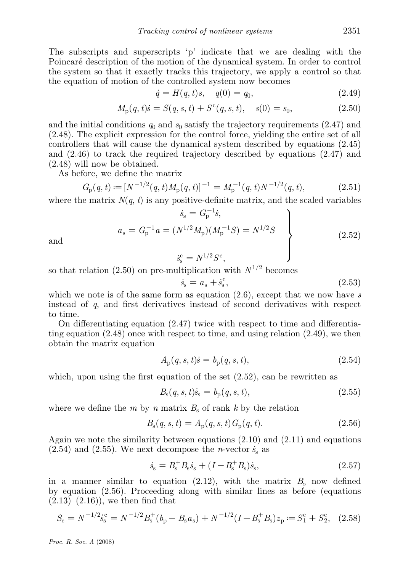The subscripts and superscripts 'p' indicate that we are dealing with the Poincaré description of the motion of the dynamical system. In order to control the system so that it exactly tracks this trajectory, we apply a control so that the equation of motion of the controlled system now becomes

$$
\dot{q} = H(q, t)s, \quad q(0) = q_0,\tag{2.49}
$$

$$
M_{\mathbf{p}}(q,t)\dot{s} = S(q,s,t) + S^{\mathbf{c}}(q,s,t), \quad s(0) = s_0,\tag{2.50}
$$

and the initial conditions  $q_0$  and  $s_0$  satisfy the trajectory requirements (2.47) and (2.48). The explicit expression for the control force, yielding the entire set of all controllers that will cause the dynamical system described by equations (2.45) and (2.46) to track the required trajectory described by equations (2.47) and (2.48) will now be obtained.

As before, we define the matrix

$$
G_{\mathbf{p}}(q,t) := [N^{-1/2}(q,t)M_{\mathbf{p}}(q,t)]^{-1} = M_{\mathbf{p}}^{-1}(q,t)N^{-1/2}(q,t),
$$
\n(2.51)

where the matrix  $N(q, t)$  is any positive-definite matrix, and the scaled variables

$$
\dot{s}_{s} = G_{p}^{-1}\dot{s},
$$
\n
$$
a_{s} = G_{p}^{-1}a = (N^{1/2}M_{p})(M_{p}^{-1}S) = N^{1/2}S
$$
\n(2.52)

and

$$
\dot{s}_{\rm s}^{\rm c} = N^{1/2} S^{\rm c},
$$

so that relation (2.50) on pre-multiplication with  $N^{1/2}$  becomes

$$
\dot{s}_{\rm s} = a_{\rm s} + \dot{s}_{\rm s}^{\rm c},\tag{2.53}
$$

 $\mathbf{j}$ 

which we note is of the same form as equation  $(2.6)$ , except that we now have s instead of q, and first derivatives instead of second derivatives with respect to time.

On differentiating equation (2.47) twice with respect to time and differentiating equation  $(2.48)$  once with respect to time, and using relation  $(2.49)$ , we then obtain the matrix equation

$$
A_{\rm p}(q,s,t)\dot{s} = b_{\rm p}(q,s,t),\tag{2.54}
$$

which, upon using the first equation of the set  $(2.52)$ , can be rewritten as

$$
B_{\rm s}(q, s, t)\dot{s}_{\rm s} = b_{\rm p}(q, s, t),\tag{2.55}
$$

where we define the  $m$  by  $n$  matrix  $B_s$  of rank  $k$  by the relation

$$
B_{\rm s}(q,s,t) = A_{\rm p}(q,s,t)G_{\rm p}(q,t). \tag{2.56}
$$

Again we note the similarity between equations  $(2.10)$  and  $(2.11)$  and equations  $(2.54)$  and  $(2.55)$ . We next decompose the *n*-vector  $\dot{s}_s$  as

$$
\dot{s}_{s} = B_{s}^{+} B_{s} \dot{s}_{s} + (I - B_{s}^{+} B_{s}) \dot{s}_{s}, \qquad (2.57)
$$

in a manner similar to equation (2.12), with the matrix  $B_s$  now defined by equation (2.56). Proceeding along with similar lines as before (equations  $(2.13)–(2.16)$ , we then find that

$$
S_{\rm c} = N^{-1/2} \dot{s}_{\rm s}^{\rm c} = N^{-1/2} B_{\rm s}^+(b_{\rm p} - B_{\rm s}a_{\rm s}) + N^{-1/2}(I - B_{\rm s}^+B_{\rm s})z_{\rm p} := S_1^{\rm c} + S_2^{\rm c}, \quad (2.58)
$$

Proc. R. Soc. A (2008)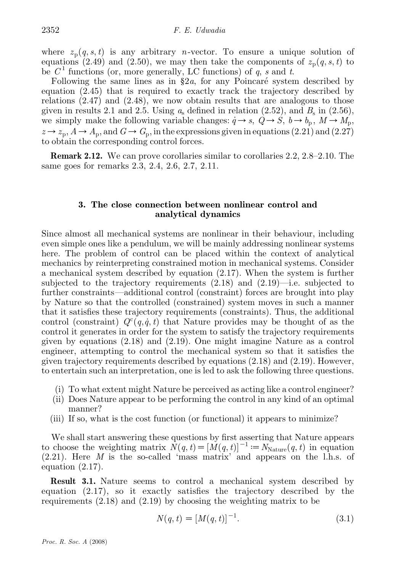where  $z_p(q, s, t)$  is any arbitrary *n*-vector. To ensure a unique solution of equations (2.49) and (2.50), we may then take the components of  $z_p(q, s, t)$  to be  $C^1$  functions (or, more generally, LC functions) of q, s and t.

Following the same lines as in  $\S 2a$ , for any Poincaré system described by equation (2.45) that is required to exactly track the trajectory described by relations (2.47) and (2.48), we now obtain results that are analogous to those given in results 2.1 and 2.5. Using  $a_s$  defined in relation (2.52), and  $B_s$  in (2.56), we simply make the following variable changes:  $\dot{q} \to s$ ,  $\dot{Q} \to \dot{S}$ ,  $b \to b_p$ ,  $M \to M_p$ ,  $z\rightarrow z_p$ ,  $A\rightarrow A_p$ , and  $G\rightarrow G_p$ , in the expressions given in equations (2.21) and (2.27) to obtain the corresponding control forces.

Remark 2.12. We can prove corollaries similar to corollaries 2.2, 2.8–2.10. The same goes for remarks 2.3, 2.4, 2.6, 2.7, 2.11.

## 3. The close connection between nonlinear control and analytical dynamics

Since almost all mechanical systems are nonlinear in their behaviour, including even simple ones like a pendulum, we will be mainly addressing nonlinear systems here. The problem of control can be placed within the context of analytical mechanics by reinterpreting constrained motion in mechanical systems. Consider a mechanical system described by equation (2.17). When the system is further subjected to the trajectory requirements  $(2.18)$  and  $(2.19)$ —i.e. subjected to further constraints—additional control (constraint) forces are brought into play by Nature so that the controlled (constrained) system moves in such a manner that it satisfies these trajectory requirements (constraints). Thus, the additional control (constraint)  $Q^{c}(q, \dot{q}, t)$  that Nature provides may be thought of as the control it generates in order for the system to satisfy the trajectory requirements given by equations (2.18) and (2.19). One might imagine Nature as a control engineer, attempting to control the mechanical system so that it satisfies the given trajectory requirements described by equations (2.18) and (2.19). However, to entertain such an interpretation, one is led to ask the following three questions.

- (i) To what extent might Nature be perceived as acting like a control engineer?
- (ii) Does Nature appear to be performing the control in any kind of an optimal manner?
- (iii) If so, what is the cost function (or functional) it appears to minimize?

We shall start answering these questions by first asserting that Nature appears to choose the weighting matrix  $\dot{N}(q,t)=[\dot{M}(q,t)]^{-1}:=N_{\text{Nature}}(q,t)$  in equation (2.21). Here M is the so-called 'mass matrix' and appears on the l.h.s. of equation (2.17).

Result 3.1. Nature seems to control a mechanical system described by equation (2.17), so it exactly satisfies the trajectory described by the requirements (2.18) and (2.19) by choosing the weighting matrix to be

$$
N(q,t) = [M(q,t)]^{-1}.
$$
\n(3.1)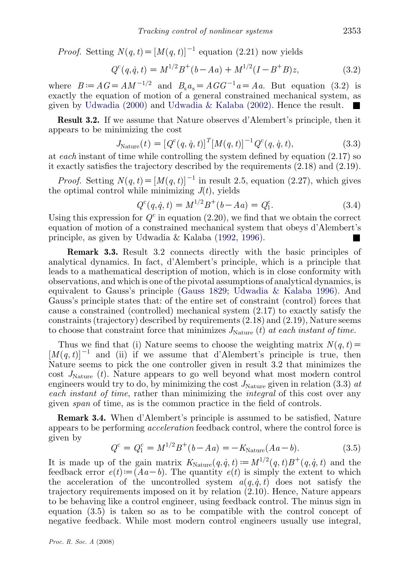*Proof.* Setting  $N(q,t) = [M(q,t)]^{-1}$  equation (2.21) now yields

$$
Q^{c}(q, \dot{q}, t) = M^{1/2}B^{+}(b - Aa) + M^{1/2}(I - B^{+}B)z,
$$
\n(3.2)

where  $B := AG = AM^{-1/2}$  and  $B_s a_s = AGG^{-1} a = Aa$ . But equation (3.2) is exactly the equation of motion of a general constrained mechanical system, as given by [Udwadia \(2000\)](#page-22-0) and [Udwadia & Kalaba \(2002\)](#page-22-0). Hence the result.  $\blacksquare$ 

Result 3.2. If we assume that Nature observes d'Alembert's principle, then it appears to be minimizing the cost

$$
J_{\text{Nature}}(t) = [Q^c(q, \dot{q}, t)]^T [M(q, t)]^{-1} Q^c(q, \dot{q}, t), \qquad (3.3)
$$

at each instant of time while controlling the system defined by equation (2.17) so it exactly satisfies the trajectory described by the requirements (2.18) and (2.19).

*Proof.* Setting  $N(q, t) = [M(q, t)]^{-1}$  in result 2.5, equation (2.27), which gives the optimal control while minimizing  $J(t)$ , yields

$$
Q^{c}(q, \dot{q}, t) = M^{1/2} B^{+}(b - Aa) = Q_{1}^{c}.
$$
\n(3.4)

Using this expression for  $Q^c$  in equation (2.20), we find that we obtain the correct equation of motion of a constrained mechanical system that obeys d'Alembert's principle, as given by Udwadia  $\&$  Kalaba [\(1992,](#page-22-0) [1996\).](#page-22-0)

Remark 3.3. Result 3.2 connects directly with the basic principles of analytical dynamics. In fact, d'Alembert's principle, which is a principle that leads to a mathematical description of motion, which is in close conformity with observations, and which is one of the pivotal assumptions of analytical dynamics, is equivalent to Gauss's principle ([Gauss 1829;](#page-22-0) [Udwadia & Kalaba 1996\)](#page-22-0). And Gauss's principle states that: of the entire set of constraint (control) forces that cause a constrained (controlled) mechanical system (2.17) to exactly satisfy the constraints (trajectory) described by requirements (2.18) and (2.19), Nature seems to choose that constraint force that minimizes  $J_{\text{Nature}}(t)$  at each instant of time.

Thus we find that (i) Nature seems to choose the weighting matrix  $N(q,t)$  $[M(q,t)]^{-1}$  and (ii) if we assume that d'Alembert's principle is true, then Nature seems to pick the one controller given in result 3.2 that minimizes the cost  $J<sub>Nature</sub> (t)$ . Nature appears to go well beyond what most modern control engineers would try to do, by minimizing the cost  $J_{\text{Nature}}$  given in relation (3.3) at each instant of time, rather than minimizing the integral of this cost over any given span of time, as is the common practice in the field of controls.

Remark 3.4. When d'Alembert's principle is assumed to be satisfied, Nature appears to be performing acceleration feedback control, where the control force is given by

$$
Q^{c} = Q_{1}^{c} = M^{1/2}B^{+}(b - Aa) = -K_{\text{Nature}}(Aa - b). \tag{3.5}
$$

It is made up of the gain matrix  $K_{\text{Nature}}(q, \dot{q}, t) \coloneqq M^{1/2}(q, t)B^+(q, \dot{q}, t)$  and the feedback error  $e(t) = (Aa - b)$ . The quantity  $e(t)$  is simply the extent to which the acceleration of the uncontrolled system  $a(q,\dot{q},t)$  does not satisfy the trajectory requirements imposed on it by relation (2.10). Hence, Nature appears to be behaving like a control engineer, using feedback control. The minus sign in equation (3.5) is taken so as to be compatible with the control concept of negative feedback. While most modern control engineers usually use integral,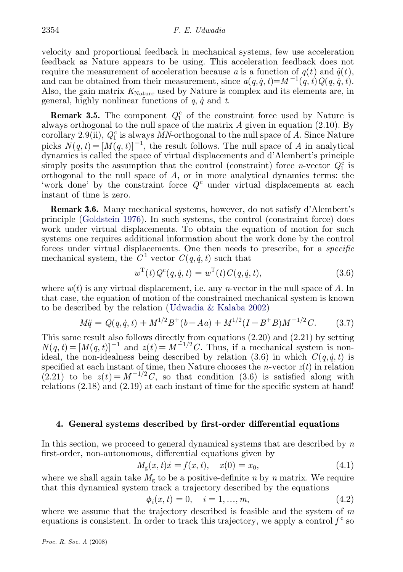velocity and proportional feedback in mechanical systems, few use acceleration feedback as Nature appears to be using. This acceleration feedback does not require the measurement of acceleration because a is a function of  $q(t)$  and  $\dot{q}(t)$ . and can be obtained from their measurement, since  $a(q, \dot{q}, t) = M^{-1}(\hat{q}, t) Q(q, \hat{q}, t)$ . Also, the gain matrix  $K_{\text{Nature}}$  used by Nature is complex and its elements are, in general, highly nonlinear functions of  $q$ ,  $\dot{q}$  and t.

**Remark 3.5.** The component  $Q_1^c$  of the constraint force used by Nature is always orthogonal to the null space of the matrix A given in equation (2.10). By corollary 2.9(ii),  $Q_1^c$  is always MN-orthogonal to the null space of A. Since Nature picks  $N(q, t) = [M(q, t)]^{-1}$ , the result follows. The null space of A in analytical dynamics is called the space of virtual displacements and d'Alembert's principle simply posits the assumption that the control (constraint) force *n*-vector  $Q_1^{\tilde{c}}$  is orthogonal to the null space of A, or in more analytical dynamics terms: the 'work done' by the constraint force  $Q^c$  under virtual displacements at each instant of time is zero.

Remark 3.6. Many mechanical systems, however, do not satisfy d'Alembert's principle ([Goldstein 1976](#page-22-0)). In such systems, the control (constraint force) does work under virtual displacements. To obtain the equation of motion for such systems one requires additional information about the work done by the control forces under virtual displacements. One then needs to prescribe, for a specific mechanical system, the  $C^1$  vector  $C(q, \dot{q}, t)$  such that

$$
w^{\mathrm{T}}(t)Q^{\mathrm{c}}(q,\dot{q},t) = w^{\mathrm{T}}(t)C(q,\dot{q},t),
$$
\n(3.6)

where  $w(t)$  is any virtual displacement, i.e. any n-vector in the null space of A. In that case, the equation of motion of the constrained mechanical system is known to be described by the relation ([Udwadia & Kalaba 2002\)](#page-22-0)

$$
M\ddot{q} = Q(q, \dot{q}, t) + M^{1/2}B^{+}(b - Aa) + M^{1/2}(I - B^{+}B)M^{-1/2}C.
$$
 (3.7)

This same result also follows directly from equations (2.20) and (2.21) by setting  $N(q,t) = [M(q,t)]^{-1}$  and  $z(t) = M^{-1/2}C$ . Thus, if a mechanical system is nonideal, the non-idealness being described by relation (3.6) in which  $C(q,\dot{q},t)$  is specified at each instant of time, then Nature chooses the *n*-vector  $z(t)$  in relation  $(2.21)$  to be  $z(t) = M^{-1/2}C$ , so that condition  $(3.6)$  is satisfied along with relations (2.18) and (2.19) at each instant of time for the specific system at hand!

## 4. General systems described by first-order differential equations

In this section, we proceed to general dynamical systems that are described by  $n$ first-order, non-autonomous, differential equations given by

$$
M_g(x, t)\dot{x} = f(x, t), \quad x(0) = x_0,\tag{4.1}
$$

where we shall again take  $M<sub>g</sub>$  to be a positive-definite n by n matrix. We require that this dynamical system track a trajectory described by the equations

$$
\phi_i(x, t) = 0, \quad i = 1, ..., m,
$$
\n(4.2)

where we assume that the trajectory described is feasible and the system of  $m$ equations is consistent. In order to track this trajectory, we apply a control  $f^c$  so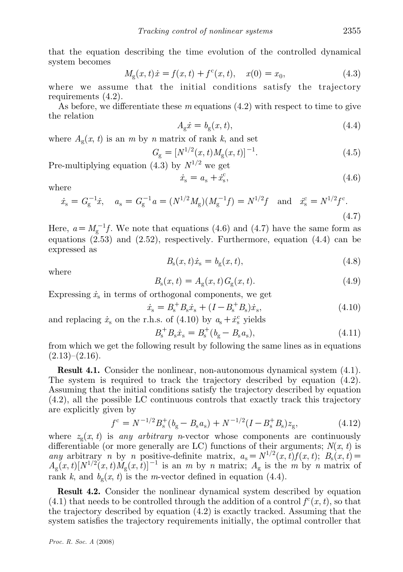that the equation describing the time evolution of the controlled dynamical system becomes

$$
M_{g}(x,t)\dot{x} = f(x,t) + f^{c}(x,t), \quad x(0) = x_{0}, \tag{4.3}
$$

where we assume that the initial conditions satisfy the trajectory requirements  $(4.2)$ .

As before, we differentiate these m equations  $(4.2)$  with respect to time to give the relation

$$
A_{\rm g}\dot{x} = b_{\rm g}(x,t),\tag{4.4}
$$

where  $A_g(x, t)$  is an m by n matrix of rank k, and set

$$
G_{\rm g} = [N^{1/2}(x, t)M_{\rm g}(x, t)]^{-1}.
$$
\n(4.5)

Pre-multiplying equation (4.3) by  $N^{1/2}$  we get

$$
\dot{x}_{s} = a_{s} + \dot{x}_{s}^{c},\tag{4.6}
$$

where

$$
\dot{x}_{s} = G_{g}^{-1}\dot{x}, \quad a_{s} = G_{g}^{-1}a = (N^{1/2}M_{g})(M_{g}^{-1}f) = N^{1/2}f \quad \text{and} \quad \dot{x}_{s}^{c} = N^{1/2}f^{c}.
$$
\n(4.7)

Here,  $a = M_g^{-1}f$ . We note that equations (4.6) and (4.7) have the same form as equations  $(2.53)$  and  $(2.52)$ , respectively. Furthermore, equation  $(4.4)$  can be expressed as

$$
B_{\rm s}(x,t)\dot{x}_{\rm s} = b_{\rm g}(x,t),\tag{4.8}
$$

where

$$
B_{\rm s}(x,t) = A_{\rm g}(x,t)G_{\rm g}(x,t). \tag{4.9}
$$

Expressing  $\dot{x}_s$  in terms of orthogonal components, we get

$$
\dot{x}_{s} = B_{s}^{+} B_{s} \dot{x}_{s} + (I - B_{s}^{+} B_{s}) \dot{x}_{s}, \tag{4.10}
$$

and replacing  $\dot{x}_s$  on the r.h.s. of (4.10) by  $a_s + \dot{x}_s^c$  yields

$$
B_{\rm s}^+ B_{\rm s} \dot{x}_{\rm s} = B_{\rm s}^+ (b_{\rm g} - B_{\rm s} a_{\rm s}), \tag{4.11}
$$

from which we get the following result by following the same lines as in equations  $(2.13)$ – $(2.16)$ .

Result 4.1. Consider the nonlinear, non-autonomous dynamical system (4.1). The system is required to track the trajectory described by equation (4.2). Assuming that the initial conditions satisfy the trajectory described by equation (4.2), all the possible LC continuous controls that exactly track this trajectory are explicitly given by

$$
f^{c} = N^{-1/2} B_{s}^{+} (b_{g} - B_{s} a_{s}) + N^{-1/2} (I - B_{s}^{+} B_{s}) z_{g}, \qquad (4.12)
$$

where  $z_{g}(x, t)$  is any arbitrary n-vector whose components are continuously differentiable (or more generally are LC) functions of their arguments;  $N(x, t)$  is any arbitrary n by n positive-definite matrix,  $a_s = N^{1/2}(x, t)f(x, t)$ ;  $B_s(x, t) =$  $A_g(x,t)[N^{1/2}(x,t)M_g(x,t)]^{-1}$  is an m by n matrix;  $A_g$  is the m by n matrix of rank k, and  $b_g(x, t)$  is the m-vector defined in equation (4.4).

Result 4.2. Consider the nonlinear dynamical system described by equation (4.1) that needs to be controlled through the addition of a control  $f^c(x, t)$ , so that the trajectory described by equation (4.2) is exactly tracked. Assuming that the system satisfies the trajectory requirements initially, the optimal controller that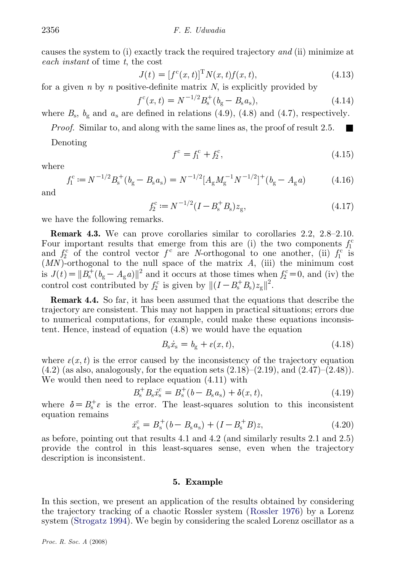causes the system to (i) exactly track the required trajectory and (ii) minimize at each instant of time t, the cost

$$
J(t) = [f^{c}(x, t)]^{T} N(x, t) f(x, t),
$$
\n(4.13)

for a given n by n positive-definite matrix  $N$ , is explicitly provided by

$$
f^{c}(x,t) = N^{-1/2}B_{s}^{+}(b_{g} - B_{s}a_{s}),
$$
\n(4.14)

where  $B_s$ ,  $b_g$  and  $a_s$  are defined in relations (4.9), (4.8) and (4.7), respectively.

*Proof.* Similar to, and along with the same lines as, the proof of result 2.5.  $\blacksquare$ Denoting

where

$$
f^c = f_1^c + f_2^c,\tag{4.15}
$$

$$
f_1^c := N^{-1/2} B_s^+(b_g - B_s a_s) = N^{-1/2} [A_g M_g^{-1} N^{-1/2}]^+(b_g - A_g a)
$$
 (4.16)

and

$$
f_2^c := N^{-1/2} (I - B_s^+ B_s) z_g,
$$
\n(4.17)

we have the following remarks.

Remark 4.3. We can prove corollaries similar to corollaries 2.2, 2.8–2.10. Four important results that emerge from this are (i) the two components  $f_1^c$  and  $f_2^c$  of the control vector  $f^c$  are N-orthogonal to one another, (ii)  $f_1^c$  is  $(MN)$ -orthogonal to the null space of the matrix A, (iii) the minimum cost is  $J(t) = ||B_s^+(b_g - A_g a)||^2$  and it occurs at those times when  $f_2^c = 0$ , and (iv) the control cost contributed by  $f_2^c$  is given by  $||(I - B_s^+ B_s)z_g||^2$ .

Remark 4.4. So far, it has been assumed that the equations that describe the trajectory are consistent. This may not happen in practical situations; errors due to numerical computations, for example, could make these equations inconsistent. Hence, instead of equation (4.8) we would have the equation

$$
B_{\rm s}\dot{x}_{\rm s} = b_{\rm g} + \varepsilon(x,t),\tag{4.18}
$$

where  $\varepsilon(x,t)$  is the error caused by the inconsistency of the trajectory equation  $(4.2)$  (as also, analogously, for the equation sets  $(2.18)$ – $(2.19)$ , and  $(2.47)$ – $(2.48)$ ). We would then need to replace equation (4.11) with

$$
B_{\rm s}^+ B_{\rm s} \dot{x}_{\rm s}^{\rm c} = B_{\rm s}^+ (b - B_{\rm s} a_{\rm s}) + \delta(x, t), \tag{4.19}
$$

where  $\delta = B_s^+ \varepsilon$  is the error. The least-squares solution to this inconsistent equation remains

$$
\dot{x}_{s}^{c} = B_{s}^{+}(b - B_{s}a_{s}) + (I - B_{s}^{+}B)z, \qquad (4.20)
$$

as before, pointing out that results 4.1 and 4.2 (and similarly results 2.1 and 2.5) provide the control in this least-squares sense, even when the trajectory description is inconsistent.

## 5. Example

In this section, we present an application of the results obtained by considering the trajectory tracking of a chaotic Rossler system ([Rossler 1976\)](#page-22-0) by a Lorenz system ([Strogatz 1994](#page-22-0)). We begin by considering the scaled Lorenz oscillator as a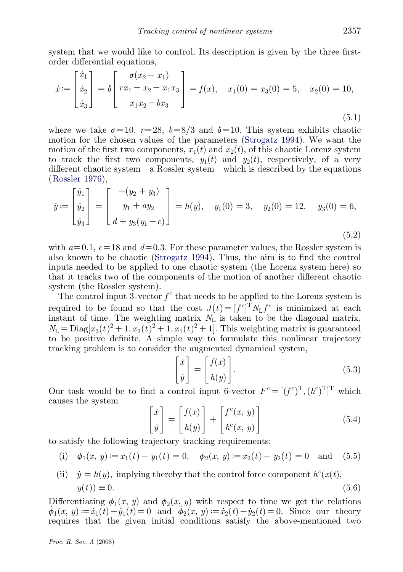system that we would like to control. Its description is given by the three firstorder differential equations,

$$
\dot{x} := \begin{bmatrix} \dot{x}_1 \\ \dot{x}_2 \\ \dot{x}_3 \end{bmatrix} = \delta \begin{bmatrix} \sigma(x_2 - x_1) \\ rx_1 - x_2 - x_1x_3 \\ x_1x_2 - bx_3 \end{bmatrix} = f(x), \quad x_1(0) = x_3(0) = 5, \quad x_2(0) = 10,
$$

where we take  $\sigma=10$ ,  $r=28$ ,  $b=8/3$  and  $\delta=10$ . This system exhibits chaotic motion for the chosen values of the parameters ([Strogatz 1994](#page-22-0)). We want the motion of the first two components,  $x_1(t)$  and  $x_2(t)$ , of this chaotic Lorenz system to track the first two components,  $y_1(t)$  and  $y_2(t)$ , respectively, of a very different chaotic system—a Rossler system—which is described by the equations ([Rossler 1976\)](#page-22-0),

$$
\dot{y} := \begin{bmatrix} \dot{y}_1 \\ \dot{y}_2 \\ \dot{y}_3 \end{bmatrix} = \begin{bmatrix} -(y_2 + y_3) \\ y_1 + ay_2 \\ d + y_3(y_1 - c) \end{bmatrix} = h(y), \quad y_1(0) = 3, \quad y_2(0) = 12, \quad y_3(0) = 6,
$$
\n(5.2)

with  $a=0.1, c=18$  and  $d=0.3$ . For these parameter values, the Rossler system is also known to be chaotic [\(Strogatz 1994\)](#page-22-0). Thus, the aim is to find the control inputs needed to be applied to one chaotic system (the Lorenz system here) so that it tracks two of the components of the motion of another different chaotic system (the Rossler system).

The control input  $3$ -vector  $f^c$  that needs to be applied to the Lorenz system is required to be found so that the cost  $J(t) = [f^c]^T N_L f^c$  is minimized at each instant of time. The weighting matrix  $N<sub>L</sub>$  is taken to be the diagonal matrix,  $N_{\rm L} = {\rm Diag}[x_3(t)^2 + 1, x_2(t)^2 + 1, x_1(t)^2 + 1]$ . This weighting matrix is guaranteed to be positive definite. A simple way to formulate this nonlinear trajectory tracking problem is to consider the augmented dynamical system,

$$
\begin{bmatrix} \dot{x} \\ \dot{y} \end{bmatrix} = \begin{bmatrix} f(x) \\ h(y) \end{bmatrix}.
$$
 (5.3)

Our task would be to find a control input 6-vector  $F^c = [(f^c)^T, (h^c)^T]^T$  which causes the system

$$
\begin{bmatrix} \dot{x} \\ \dot{y} \end{bmatrix} = \begin{bmatrix} f(x) \\ h(y) \end{bmatrix} + \begin{bmatrix} f^c(x, y) \\ h^c(x, y) \end{bmatrix}
$$
 (5.4)

to satisfy the following trajectory tracking requirements:

- (i)  $\phi_1(x, y) := x_1(t) y_1(t) = 0, \quad \phi_2(x, y) := x_2(t) y_2(t) = 0 \text{ and } (5.5)$
- (ii)  $\dot{y} = h(y)$ , implying thereby that the control force component  $h^c(x(t))$ ,  $y(t) \equiv 0.$  (5.6)

Differentiating  $\phi_1(x, y)$  and  $\phi_2(x, y)$  with respect to time we get the relations  $\dot{\phi}_1(x, y) := \dot{x}_1(t) - \dot{y}_1(t) = 0$  and  $\dot{\phi}_2(x, y) := \dot{x}_2(t) - \dot{y}_2(t) = 0$ . Since our theory requires that the given initial conditions satisfy the above-mentioned two

 $(5.1)$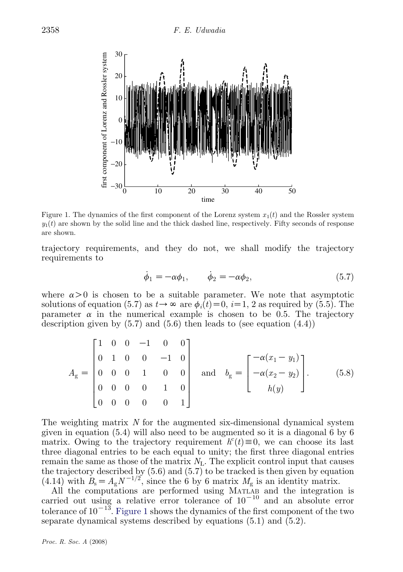

Figure 1. The dynamics of the first component of the Lorenz system  $x_1(t)$  and the Rossler system  $y_1(t)$  are shown by the solid line and the thick dashed line, respectively. Fifty seconds of response are shown.

trajectory requirements, and they do not, we shall modify the trajectory requirements to

$$
\dot{\phi}_1 = -\alpha \phi_1, \qquad \dot{\phi}_2 = -\alpha \phi_2, \tag{5.7}
$$

where  $\alpha > 0$  is chosen to be a suitable parameter. We note that asymptotic solutions of equation (5.7) as  $t\rightarrow\infty$  are  $\phi_i(t)=0$ ,  $i=1, 2$  as required by (5.5). The parameter  $\alpha$  in the numerical example is chosen to be 0.5. The trajectory description given by  $(5.7)$  and  $(5.6)$  then leads to (see equation  $(4.4)$ )

$$
A_{\rm g} = \begin{bmatrix} 1 & 0 & 0 & -1 & 0 & 0 \\ 0 & 1 & 0 & 0 & -1 & 0 \\ 0 & 0 & 0 & 1 & 0 & 0 \\ 0 & 0 & 0 & 0 & 1 & 0 \\ 0 & 0 & 0 & 0 & 0 & 1 \end{bmatrix} \text{ and } b_{\rm g} = \begin{bmatrix} -\alpha(x_1 - y_1) \\ -\alpha(x_2 - y_2) \\ h(y) \end{bmatrix}.
$$
 (5.8)

The weighting matrix N for the augmented six-dimensional dynamical system given in equation (5.4) will also need to be augmented so it is a diagonal 6 by 6 matrix. Owing to the trajectory requirement  $h^c(t) \equiv 0$ , we can choose its last three diagonal entries to be each equal to unity; the first three diagonal entries remain the same as those of the matrix  $N_L$ . The explicit control input that causes the trajectory described by (5.6) and (5.7) to be tracked is then given by equation (4.14) with  $B_s = A_g N^{-1/2}$ , since the 6 by 6 matrix  $M_g$  is an identity matrix.

All the computations are performed using MATLAB and the integration is carried out using a relative error tolerance of  $10^{-10}$  and an absolute error tolerance of  $10^{-13}$ . Figure 1 shows the dynamics of the first component of the two separate dynamical systems described by equations (5.1) and (5.2).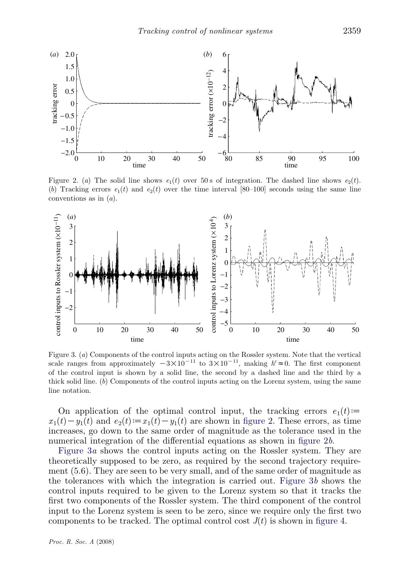

Figure 2. (a) The solid line shows  $e_1(t)$  over 50 s of integration. The dashed line shows  $e_2(t)$ . (b) Tracking errors  $e_1(t)$  and  $e_2(t)$  over the time interval [80–100] seconds using the same line conventions as in (a).



Figure 3. (a) Components of the control inputs acting on the Rossler system. Note that the vertical scale ranges from approximately  $-3 \times 10^{-11}$  to  $3 \times 10^{-11}$ , making  $h^c \approx 0$ . The first component of the control input is shown by a solid line, the second by a dashed line and the third by a thick solid line.  $(b)$  Components of the control inputs acting on the Lorenz system, using the same line notation.

On application of the optimal control input, the tracking errors  $e_1(t)$  $x_1(t) - y_1(t)$  and  $e_2(t) \coloneqq x_1(t) - y_1(t)$  are shown in figure 2. These errors, as time increases, go down to the same order of magnitude as the tolerance used in the numerical integration of the differential equations as shown in figure 2b.

Figure 3a shows the control inputs acting on the Rossler system. They are theoretically supposed to be zero, as required by the second trajectory requirement (5.6). They are seen to be very small, and of the same order of magnitude as the tolerances with which the integration is carried out. Figure 3b shows the control inputs required to be given to the Lorenz system so that it tracks the first two components of the Rossler system. The third component of the control input to the Lorenz system is seen to be zero, since we require only the first two components to be tracked. The optimal control cost  $J(t)$  is shown in [figure 4](#page-19-0).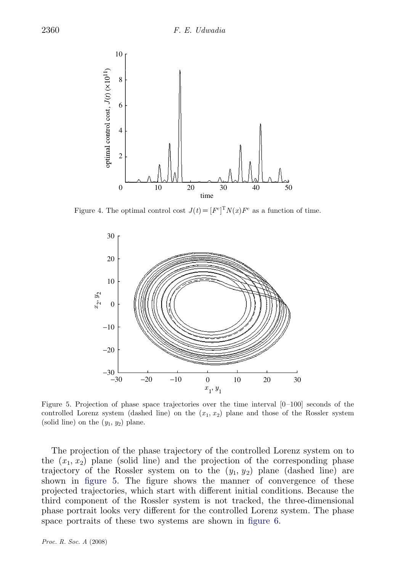<span id="page-19-0"></span>

Figure 4. The optimal control cost  $J(t) = [F^c]^T N(x) F^c$  as a function of time.



Figure 5. Projection of phase space trajectories over the time interval  $[0-100]$  seconds of the controlled Lorenz system (dashed line) on the  $(x_1, x_2)$  plane and those of the Rossler system (solid line) on the  $(y_1, y_2)$  plane.

The projection of the phase trajectory of the controlled Lorenz system on to the  $(x_1, x_2)$  plane (solid line) and the projection of the corresponding phase trajectory of the Rossler system on to the  $(y_1, y_2)$  plane (dashed line) are shown in figure 5. The figure shows the manner of convergence of these projected trajectories, which start with different initial conditions. Because the third component of the Rossler system is not tracked, the three-dimensional phase portrait looks very different for the controlled Lorenz system. The phase space portraits of these two systems are shown in [figure 6.](#page-20-0)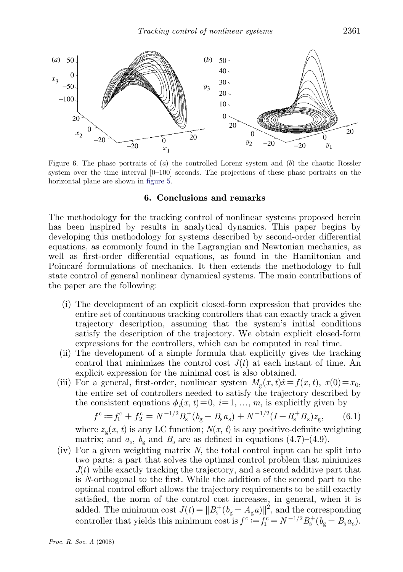<span id="page-20-0"></span>

Figure 6. The phase portraits of  $(a)$  the controlled Lorenz system and  $(b)$  the chaotic Rossler system over the time interval [0–100] seconds. The projections of these phase portraits on the horizontal plane are shown in [figure 5.](#page-19-0)

#### 6. Conclusions and remarks

The methodology for the tracking control of nonlinear systems proposed herein has been inspired by results in analytical dynamics. This paper begins by developing this methodology for systems described by second-order differential equations, as commonly found in the Lagrangian and Newtonian mechanics, as well as first-order differential equations, as found in the Hamiltonian and Poincaré formulations of mechanics. It then extends the methodology to full state control of general nonlinear dynamical systems. The main contributions of the paper are the following:

- (i) The development of an explicit closed-form expression that provides the entire set of continuous tracking controllers that can exactly track a given trajectory description, assuming that the system's initial conditions satisfy the description of the trajectory. We obtain explicit closed-form expressions for the controllers, which can be computed in real time.
- (ii) The development of a simple formula that explicitly gives the tracking control that minimizes the control cost  $J(t)$  at each instant of time. An explicit expression for the minimal cost is also obtained.
- (iii) For a general, first-order, nonlinear system  $M<sub>g</sub>(x,t)\dot{x}=f(x,t), x(0)=x_0$ , the entire set of controllers needed to satisfy the trajectory described by the consistent equations  $\phi_i(x, t)=0, i=1, ..., m$ , is explicitly given by

$$
f^c := f_1^c + f_2^c = N^{-1/2} B_s^+(b_g - B_s a_s) + N^{-1/2} (I - B_s^+ B_s) z_g, \tag{6.1}
$$

where  $z_g(x, t)$  is any LC function;  $N(x, t)$  is any positive-definite weighting matrix; and  $a_s$ ,  $b_g$  and  $B_s$  are as defined in equations (4.7)–(4.9).

(iv) For a given weighting matrix N, the total control input can be split into two parts: a part that solves the optimal control problem that minimizes  $J(t)$  while exactly tracking the trajectory, and a second additive part that is N-orthogonal to the first. While the addition of the second part to the optimal control effort allows the trajectory requirements to be still exactly satisfied, the norm of the control cost increases, in general, when it is added. The minimum cost  $J(t) = ||B_s^+(b_g - A_g a)||^2$ , and the corresponding controller that yields this minimum cost is  $f^c := f_1^c = N^{-1/2} B_s^+(b_g - B_s a_s)$ .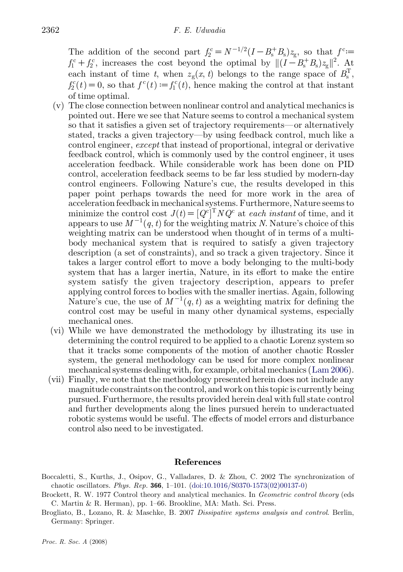<span id="page-21-0"></span>The addition of the second part  $f_2^c = N^{-1/2}(I - B_s^+ B_s)z_g$ , so that  $f^c :=$  $f_1^c + f_2^c$ , increases the cost beyond the optimal by  $\|(I - B_s^+ B_s)z_g\|^2$ . At each instant of time t, when  $z_{g}(x, t)$  belongs to the range space of  $B_{s}^{T}$ ,  $f_2^c(t) = 0$ , so that  $f^c(t) := f_1^c(t)$ , hence making the control at that instant of time optimal.

- (v) The close connection between nonlinear control and analytical mechanics is pointed out. Here we see that Nature seems to control a mechanical system so that it satisfies a given set of trajectory requirements—or alternatively stated, tracks a given trajectory—by using feedback control, much like a control engineer, except that instead of proportional, integral or derivative feedback control, which is commonly used by the control engineer, it uses acceleration feedback. While considerable work has been done on PID control, acceleration feedback seems to be far less studied by modern-day control engineers. Following Nature's cue, the results developed in this paper point perhaps towards the need for more work in the area of acceleration feedback in mechanical systems. Furthermore, Nature seems to minimize the control cost  $J(t) = [Q^c]^T N Q^c$  at each instant of time, and it appears to use  $M^{-1}(q, t)$  for the weighting matrix N. Nature's choice of this weighting matrix can be understood when thought of in terms of a multibody mechanical system that is required to satisfy a given trajectory description (a set of constraints), and so track a given trajectory. Since it takes a larger control effort to move a body belonging to the multi-body system that has a larger inertia, Nature, in its effort to make the entire system satisfy the given trajectory description, appears to prefer applying control forces to bodies with the smaller inertias. Again, following Nature's cue, the use of  $M^{-1}(q,t)$  as a weighting matrix for defining the control cost may be useful in many other dynamical systems, especially mechanical ones.
- (vi) While we have demonstrated the methodology by illustrating its use in determining the control required to be applied to a chaotic Lorenz system so that it tracks some components of the motion of another chaotic Rossler system, the general methodology can be used for more complex nonlinear mechanical systems dealing with, for example, orbital mechanics ([Lam 2006](#page-22-0)).
- (vii) Finally, we note that the methodology presented herein does not include any magnitude constraints on the control, and work on this topic is currently being pursued. Furthermore, the results provided herein deal with full state control and further developments along the lines pursued herein to underactuated robotic systems would be useful. The effects of model errors and disturbance control also need to be investigated.

## References

- Boccaletti, S., Kurths, J., Osipov, G., Valladares, D. & Zhou, C. 2002 The synchronization of chaotic oscillators. Phys. Rep. 366, 1–101. ([doi:10.1016/S0370-1573\(02\)00137-0\)](http://dx.doi.org/doi:10.1016/S0370-1573(02)00137-0)
- Brockett, R. W. 1977 Control theory and analytical mechanics. In Geometric control theory (eds C. Martin & R. Herman), pp. 1–66. Brookline, MA: Math. Sci. Press.
- Brogliato, B., Lozano, R. & Maschke, B. 2007 Dissipative systems analysis and control. Berlin, Germany: Springer.